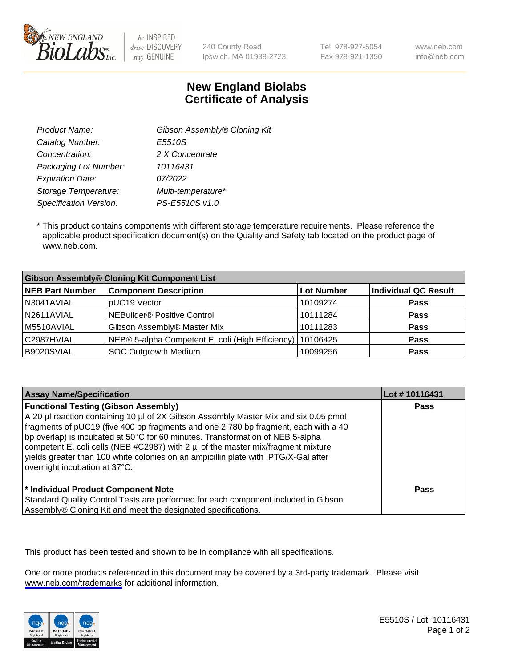

be INSPIRED drive DISCOVERY stay GENUINE

240 County Road Ipswich, MA 01938-2723 Tel 978-927-5054 Fax 978-921-1350 www.neb.com info@neb.com

## **New England Biolabs Certificate of Analysis**

| Gibson Assembly® Cloning Kit |
|------------------------------|
| E5510S                       |
| 2 X Concentrate              |
| 10116431                     |
| 07/2022                      |
| Multi-temperature*           |
| PS-E5510S v1.0               |
|                              |

 \* This product contains components with different storage temperature requirements. Please reference the applicable product specification document(s) on the Quality and Safety tab located on the product page of www.neb.com.

| <b>Gibson Assembly® Cloning Kit Component List</b> |                                                             |            |                             |  |
|----------------------------------------------------|-------------------------------------------------------------|------------|-----------------------------|--|
| <b>NEB Part Number</b>                             | <b>Component Description</b>                                | Lot Number | <b>Individual QC Result</b> |  |
| N3041AVIAL                                         | pUC19 Vector                                                | 10109274   | Pass                        |  |
| N2611AVIAL                                         | NEBuilder <sup>®</sup> Positive Control                     | 10111284   | <b>Pass</b>                 |  |
| M5510AVIAL                                         | Gibson Assembly® Master Mix                                 | 10111283   | <b>Pass</b>                 |  |
| C2987HVIAL                                         | NEB® 5-alpha Competent E. coli (High Efficiency)   10106425 |            | Pass                        |  |
| B9020SVIAL                                         | SOC Outgrowth Medium                                        | 10099256   | <b>Pass</b>                 |  |

| <b>Assay Name/Specification</b>                                                                                                                                                                                                                                                                                                                                                                                                                                                                                           | Lot #10116431 |
|---------------------------------------------------------------------------------------------------------------------------------------------------------------------------------------------------------------------------------------------------------------------------------------------------------------------------------------------------------------------------------------------------------------------------------------------------------------------------------------------------------------------------|---------------|
| <b>Functional Testing (Gibson Assembly)</b><br>A 20 µl reaction containing 10 µl of 2X Gibson Assembly Master Mix and six 0.05 pmol<br>fragments of pUC19 (five 400 bp fragments and one 2,780 bp fragment, each with a 40<br>bp overlap) is incubated at 50°C for 60 minutes. Transformation of NEB 5-alpha<br>competent E. coli cells (NEB #C2987) with 2 µl of the master mix/fragment mixture<br>yields greater than 100 white colonies on an ampicillin plate with IPTG/X-Gal after<br>overnight incubation at 37°C. | <b>Pass</b>   |
| * Individual Product Component Note<br>Standard Quality Control Tests are performed for each component included in Gibson<br>Assembly® Cloning Kit and meet the designated specifications.                                                                                                                                                                                                                                                                                                                                | Pass          |

This product has been tested and shown to be in compliance with all specifications.

One or more products referenced in this document may be covered by a 3rd-party trademark. Please visit <www.neb.com/trademarks>for additional information.